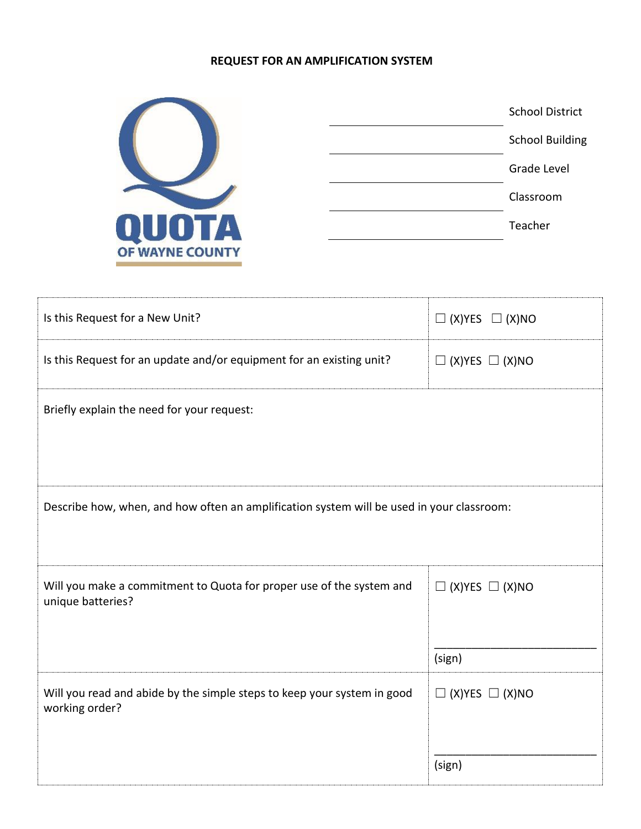## **REQUEST FOR AN AMPLIFICATION SYSTEM**



|  | <b>School District</b> |
|--|------------------------|
|  | <b>School Building</b> |
|  | Grade Level            |
|  | Classroom              |
|  | Teacher                |
|  |                        |

| Is this Request for a New Unit?                                                           | $\Box$ (X)YES $\Box$ (X)NO |  |  |  |
|-------------------------------------------------------------------------------------------|----------------------------|--|--|--|
| Is this Request for an update and/or equipment for an existing unit?                      | $\Box$ (X)YES $\Box$ (X)NO |  |  |  |
| Briefly explain the need for your request:                                                |                            |  |  |  |
| Describe how, when, and how often an amplification system will be used in your classroom: |                            |  |  |  |
|                                                                                           |                            |  |  |  |
| Will you make a commitment to Quota for proper use of the system and<br>unique batteries? | $\Box$ (X)YES $\Box$ (X)NO |  |  |  |
|                                                                                           | (sign)                     |  |  |  |
| Will you read and abide by the simple steps to keep your system in good<br>working order? | $\Box$ (X)YES $\Box$ (X)NO |  |  |  |
|                                                                                           | (sign)                     |  |  |  |